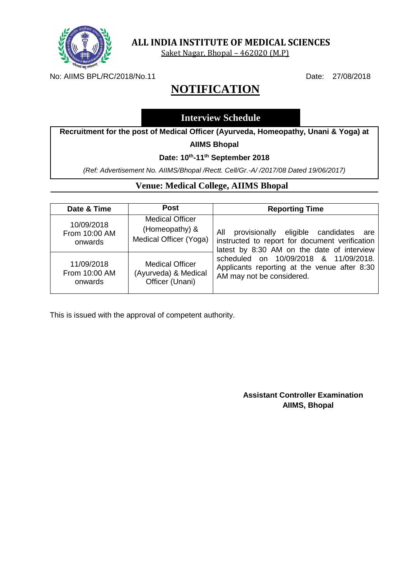

Saket Nagar, Bhopal – 462020 (M.P)

No: AIIMS BPL/RC/2018/No.11 Date: 27/08/2018

# **NOTIFICATION**

# **Interview Schedule**

**Recruitment for the post of Medical Officer (Ayurveda, Homeopathy, Unani & Yoga) at** 

#### **AIIMS Bhopal**

#### **Date: 10th -11th September 2018**

*(Ref: Advertisement No. AIIMS/Bhopal /Rectt. Cell/Gr.-A/ /2017/08 Dated 19/06/2017)*

### **Venue: Medical College, AIIMS Bhopal**

| Date & Time                            | Post                                                               | <b>Reporting Time</b>                                                                                                                                                                                                                                              |
|----------------------------------------|--------------------------------------------------------------------|--------------------------------------------------------------------------------------------------------------------------------------------------------------------------------------------------------------------------------------------------------------------|
| 10/09/2018<br>From 10:00 AM<br>onwards | <b>Medical Officer</b><br>(Homeopathy) &<br>Medical Officer (Yoga) | provisionally eligible candidates are<br>All<br>instructed to report for document verification<br>latest by 8:30 AM on the date of interview<br>scheduled on 10/09/2018 & 11/09/2018.<br>Applicants reporting at the venue after 8:30<br>AM may not be considered. |
| 11/09/2018<br>From 10:00 AM<br>onwards | <b>Medical Officer</b><br>(Ayurveda) & Medical<br>Officer (Unani)  |                                                                                                                                                                                                                                                                    |

This is issued with the approval of competent authority.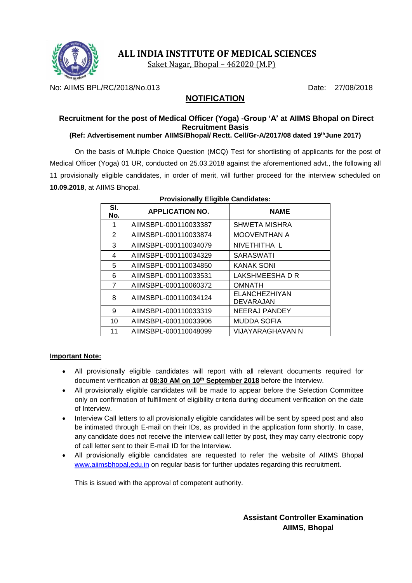

Saket Nagar, Bhopal – 462020 (M.P)

No: AIIMS BPL/RC/2018/No.013 Date: 27/08/2018

# **NOTIFICATION**

# **Recruitment for the post of Medical Officer (Yoga) -Group 'A' at AIIMS Bhopal on Direct Recruitment Basis**

### **(Ref: Advertisement number AIIMS/Bhopal/ Rectt. Cell/Gr-A/2017/08 dated 19thJune 2017)**

On the basis of Multiple Choice Question (MCQ) Test for shortlisting of applicants for the post of Medical Officer (Yoga) 01 UR, conducted on 25.03.2018 against the aforementioned advt., the following all 11 provisionally eligible candidates, in order of merit, will further proceed for the interview scheduled on **10.09.2018**, at AIIMS Bhopal.

| SI.<br>No. | <b>APPLICATION NO.</b> | <b>NAME</b>                |
|------------|------------------------|----------------------------|
| 1          | AIIMSBPL-000110033387  | <b>SHWETA MISHRA</b>       |
| 2          | AIIMSBPL-000110033874  | <b>MOOVENTHAN A</b>        |
| 3          | AIIMSBPL-000110034079  | NIVETHITHA L               |
| 4          | AIIMSBPL-000110034329  | <b>SARASWATI</b>           |
| 5          | AIIMSBPL-000110034850  | KANAK SONI                 |
| 6          | AIIMSBPL-000110033531  | LAKSHMEESHA D R            |
| 7          | AIIMSBPL-000110060372  | <b>OMNATH</b>              |
| 8          | AIIMSBPL-000110034124  | ELANCHEZHIYAN<br>DEVARAJAN |
| 9          | AIIMSBPL-000110033319  | <b>NEERAJ PANDEY</b>       |
| 10         | AIIMSBPL-000110033906  | MUDDA SOFIA                |
| 11         | AIIMSBPL-000110048099  | VIJAYARAGHAVAN N           |

#### **Provisionally Eligible Candidates:**

#### **Important Note:**

- All provisionally eligible candidates will report with all relevant documents required for document verification at **08:30 AM on 10th September 2018** before the Interview.
- All provisionally eligible candidates will be made to appear before the Selection Committee only on confirmation of fulfillment of eligibility criteria during document verification on the date of Interview.
- Interview Call letters to all provisionally eligible candidates will be sent by speed post and also be intimated through E-mail on their IDs, as provided in the application form shortly. In case, any candidate does not receive the interview call letter by post, they may carry electronic copy of call letter sent to their E-mail ID for the Interview.
- All provisionally eligible candidates are requested to refer the website of AIIMS Bhopal [www.aiimsbhopal.edu.in](http://www.aiimsbhopal.edu.in/) on regular basis for further updates regarding this recruitment.

This is issued with the approval of competent authority.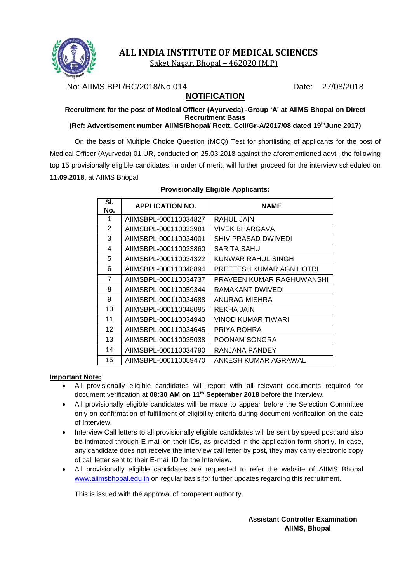

Saket Nagar, Bhopal – 462020 (M.P)

No: AIIMS BPL/RC/2018/No.014 Date: 27/08/2018

# **NOTIFICATION**

#### **Recruitment for the post of Medical Officer (Ayurveda) -Group 'A' at AIIMS Bhopal on Direct Recruitment Basis (Ref: Advertisement number AIIMS/Bhopal/ Rectt. Cell/Gr-A/2017/08 dated 19thJune 2017)**

On the basis of Multiple Choice Question (MCQ) Test for shortlisting of applicants for the post of Medical Officer (Ayurveda) 01 UR, conducted on 25.03.2018 against the aforementioned advt., the following top 15 provisionally eligible candidates, in order of merit, will further proceed for the interview scheduled on **11.09.2018**, at AIIMS Bhopal.

| SI.<br>No. | <b>APPLICATION NO.</b> | <b>NAME</b>               |
|------------|------------------------|---------------------------|
| 1          | AIIMSBPL-000110034827  | RAHUL JAIN                |
| 2          | AIIMSBPL-000110033981  | VIVEK BHARGAVA            |
| 3          | AIIMSBPL-000110034001  | SHIV PRASAD DWIVEDI       |
| 4          | AIIMSBPL-000110033860  | SARITA SAHU               |
| 5          | AIIMSBPL-000110034322  | KUNWAR RAHUL SINGH        |
| 6          | AIIMSBPL-000110048894  | PREETESH KUMAR AGNIHOTRI  |
| 7          | AIIMSBPL-000110034737  | PRAVEEN KUMAR RAGHUWANSHI |
| 8          | AIIMSBPL-000110059344  | RAMAKANT DWIVEDI          |
| 9          | AIIMSBPL-000110034688  | ANURAG MISHRA             |
| 10         | AIIMSBPL-000110048095  | REKHA JAIN                |
| 11         | AIIMSBPL-000110034940  | VINOD KUMAR TIWARI        |
| 12         | AIIMSBPL-000110034645  | PRIYA ROHRA               |
| 13         | AIIMSBPL-000110035038  | POONAM SONGRA             |
| 14         | AIIMSBPL-000110034790  | RANJANA PANDEY            |
| 15         | AIIMSBPL-000110059470  | ANKESH KUMAR AGRAWAL      |

#### **Provisionally Eligible Applicants:**

#### **Important Note:**

- All provisionally eligible candidates will report with all relevant documents required for document verification at **08:30 AM on 11th September 2018** before the Interview.
- All provisionally eligible candidates will be made to appear before the Selection Committee only on confirmation of fulfillment of eligibility criteria during document verification on the date of Interview.
- Interview Call letters to all provisionally eligible candidates will be sent by speed post and also be intimated through E-mail on their IDs, as provided in the application form shortly. In case, any candidate does not receive the interview call letter by post, they may carry electronic copy of call letter sent to their E-mail ID for the Interview.
- All provisionally eligible candidates are requested to refer the website of AIIMS Bhopal [www.aiimsbhopal.edu.in](http://www.aiimsbhopal.edu.in/) on regular basis for further updates regarding this recruitment.

This is issued with the approval of competent authority.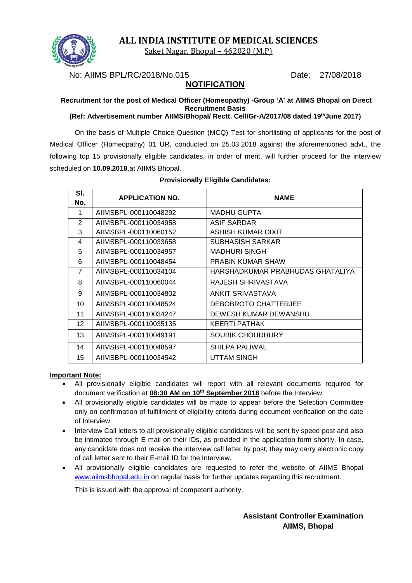

Saket Nagar, Bhopal – 462020 (M.P)

No: AIIMS BPL/RC/2018/No.015 Date: 27/08/2018

### **NOTIFICATION**

# **Recruitment for the post of Medical Officer (Homeopathy) -Group 'A' at AIIMS Bhopal on Direct Recruitment Basis**

**(Ref: Advertisement number AIIMS/Bhopal/ Rectt. Cell/Gr-A/2017/08 dated 19thJune 2017)**

On the basis of Multiple Choice Question (MCQ) Test for shortlisting of applicants for the post of Medical Officer (Homeopathy) 01 UR, conducted on 25.03.2018 against the aforementioned advt., the following top 15 provisionally eligible candidates, in order of merit, will further proceed for the interview scheduled on **10.09.2018**,at AIIMS Bhopal.

| SI.<br>No.     | <b>APPLICATION NO.</b> | <b>NAME</b>                      |
|----------------|------------------------|----------------------------------|
| 1              | AIIMSBPL-000110048292  | <b>MADHU GUPTA</b>               |
| 2              | AIIMSBPL-000110034958  | <b>ASIF SARDAR</b>               |
| 3              | AIIMSBPL-000110060152  | ASHISH KUMAR DIXIT               |
| 4              | AIIMSBPL-000110033658  | SUBHASISH SARKAR                 |
| 5              | AIIMSBPL-000110034957  | <b>MADHURI SINGH</b>             |
| 6              | AIIMSBPL-000110048454  | <b>PRABIN KUMAR SHAW</b>         |
| $\overline{7}$ | AIIMSBPL-000110034104  | HARSHADKUMAR PRABHUDAS GHATALIYA |
| 8              | AIIMSBPL-000110060044  | RAJESH SHRIVASTAVA               |
| 9              | AIIMSBPL-000110034802  | ANKIT SRIVASTAVA                 |
| 10             | AIIMSBPL-000110048524  | DEBOBROTO CHATTERJEE             |
| 11             | AIIMSBPL-000110034247  | DEWESH KUMAR DEWANSHU            |
| 12             | AIIMSBPL-000110035135  | KEERTI PATHAK                    |
| 13             | AIIMSBPL-000110049191  | SOUBIK CHOUDHURY                 |
| 14             | AIIMSBPL-000110048597  | SHILPA PALIWAL                   |
| 15             | AIIMSBPL-000110034542  | UTTAM SINGH                      |

#### **Provisionally Eligible Candidates:**

#### **Important Note:**

- All provisionally eligible candidates will report with all relevant documents required for document verification at **08:30 AM on 10th September 2018** before the Interview.
- All provisionally eligible candidates will be made to appear before the Selection Committee only on confirmation of fulfillment of eligibility criteria during document verification on the date of Interview.
- Interview Call letters to all provisionally eligible candidates will be sent by speed post and also be intimated through E-mail on their IDs, as provided in the application form shortly. In case, any candidate does not receive the interview call letter by post, they may carry electronic copy of call letter sent to their E-mail ID for the Interview.
- All provisionally eligible candidates are requested to refer the website of AIIMS Bhopal [www.aiimsbhopal.edu.in](http://www.aiimsbhopal.edu.in/) on regular basis for further updates regarding this recruitment.

This is issued with the approval of competent authority.